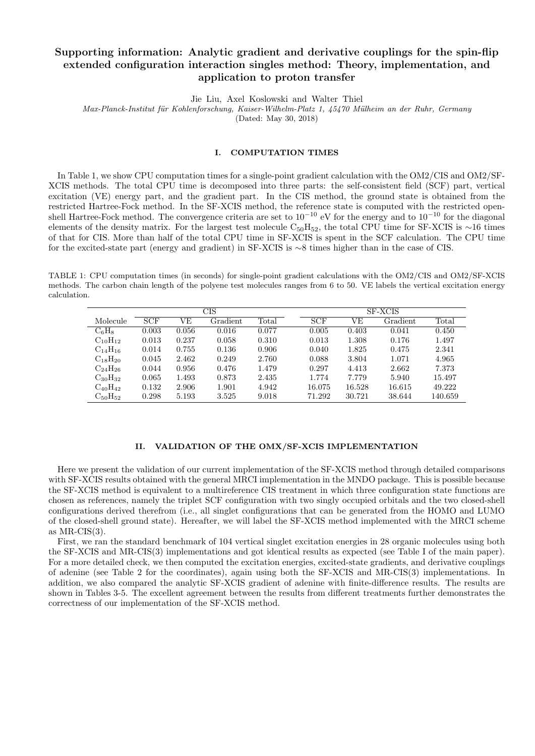## Supporting information: Analytic gradient and derivative couplings for the spin-flip extended configuration interaction singles method: Theory, implementation, and application to proton transfer

Jie Liu, Axel Koslowski and Walter Thiel

Max-Planck-Institut für Kohlenforschung, Kaiser-Wilhelm-Platz 1, 45470 Mülheim an der Ruhr, Germany

(Dated: May 30, 2018)

## I. COMPUTATION TIMES

In Table 1, we show CPU computation times for a single-point gradient calculation with the OM2/CIS and OM2/SF-XCIS methods. The total CPU time is decomposed into three parts: the self-consistent field (SCF) part, vertical excitation (VE) energy part, and the gradient part. In the CIS method, the ground state is obtained from the restricted Hartree-Fock method. In the SF-XCIS method, the reference state is computed with the restricted openshell Hartree-Fock method. The convergence criteria are set to 10−<sup>10</sup> eV for the energy and to 10−<sup>10</sup> for the diagonal elements of the density matrix. For the largest test molecule  $C_{50}H_{52}$ , the total CPU time for SF-XCIS is ∼16 times of that for CIS. More than half of the total CPU time in SF-XCIS is spent in the SCF calculation. The CPU time for the excited-state part (energy and gradient) in SF-XCIS is ∼8 times higher than in the case of CIS.

TABLE 1: CPU computation times (in seconds) for single-point gradient calculations with the OM2/CIS and OM2/SF-XCIS methods. The carbon chain length of the polyene test molecules ranges from 6 to 50. VE labels the vertical excitation energy calculation.

|                      | CIS   |       |          |       | SF-XCIS |        |          |                |  |
|----------------------|-------|-------|----------|-------|---------|--------|----------|----------------|--|
| Molecule             | SCF   | VE    | Gradient | Total | SCF     | VЕ     | Gradient | $\text{Total}$ |  |
| $C_6$ H <sub>8</sub> | 0.003 | 0.056 | 0.016    | 0.077 | 0.005   | 0.403  | 0.041    | 0.450          |  |
| $C_{10}H_{12}$       | 0.013 | 0.237 | 0.058    | 0.310 | 0.013   | 1.308  | 0.176    | 1.497          |  |
| $C_{14}H_{16}$       | 0.014 | 0.755 | 0.136    | 0.906 | 0.040   | 1.825  | 0.475    | 2.341          |  |
| $C_{18}H_{20}$       | 0.045 | 2.462 | 0.249    | 2.760 | 0.088   | 3.804  | 1.071    | 4.965          |  |
| $C_{24}H_{26}$       | 0.044 | 0.956 | 0.476    | 1.479 | 0.297   | 4.413  | 2.662    | 7.373          |  |
| $C_{30}H_{32}$       | 0.065 | 1.493 | 0.873    | 2.435 | 1.774   | 7.779  | 5.940    | 15.497         |  |
| $C_{40}H_{42}$       | 0.132 | 2.906 | 1.901    | 4.942 | 16.075  | 16.528 | 16.615   | 49.222         |  |
| $C_{50}H_{52}$       | 0.298 | 5.193 | 3.525    | 9.018 | 71.292  | 30.721 | 38.644   | 140.659        |  |

## II. VALIDATION OF THE OMX/SF-XCIS IMPLEMENTATION

Here we present the validation of our current implementation of the SF-XCIS method through detailed comparisons with SF-XCIS results obtained with the general MRCI implementation in the MNDO package. This is possible because the SF-XCIS method is equivalent to a multireference CIS treatment in which three configuration state functions are chosen as references, namely the triplet SCF configuration with two singly occupied orbitals and the two closed-shell configurations derived therefrom (i.e., all singlet configurations that can be generated from the HOMO and LUMO of the closed-shell ground state). Hereafter, we will label the SF-XCIS method implemented with the MRCI scheme as  $MR-CIS(3)$ .

First, we ran the standard benchmark of 104 vertical singlet excitation energies in 28 organic molecules using both the SF-XCIS and MR-CIS(3) implementations and got identical results as expected (see Table I of the main paper). For a more detailed check, we then computed the excitation energies, excited-state gradients, and derivative couplings of adenine (see Table 2 for the coordinates), again using both the SF-XCIS and MR-CIS(3) implementations. In addition, we also compared the analytic SF-XCIS gradient of adenine with finite-difference results. The results are shown in Tables 3-5. The excellent agreement between the results from different treatments further demonstrates the correctness of our implementation of the SF-XCIS method.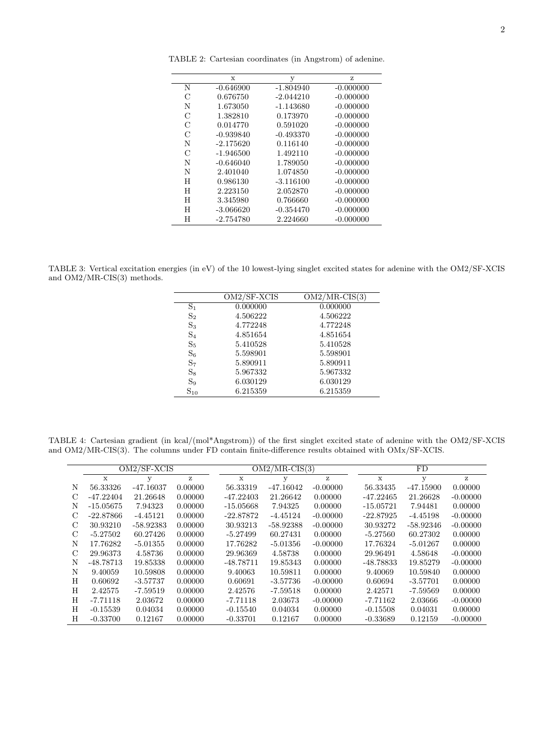|               | X           | у           | z           |
|---------------|-------------|-------------|-------------|
| N             | $-0.646900$ | $-1.804940$ | $-0.000000$ |
| С             | 0.676750    | $-2.044210$ | $-0.000000$ |
| N             | 1.673050    | $-1.143680$ | $-0.000000$ |
| С             | 1.382810    | 0.173970    | $-0.000000$ |
| $\mathcal{C}$ | 0.014770    | 0.591020    | $-0.000000$ |
| C             | $-0.939840$ | $-0.493370$ | $-0.000000$ |
| N             | $-2.175620$ | 0.116140    | $-0.000000$ |
| $\mathcal{C}$ | $-1.946500$ | 1.492110    | $-0.000000$ |
| N             | $-0.646040$ | 1.789050    | $-0.000000$ |
| N             | 2.401040    | 1.074850    | $-0.000000$ |
| H             | 0.986130    | $-3.116100$ | $-0.000000$ |
| H             | 2.223150    | 2.052870    | $-0.000000$ |
| H             | 3.345980    | 0.766660    | $-0.000000$ |
| H             | $-3.066620$ | -0.354470   | $-0.000000$ |
| H             | $-2.754780$ | 2.224660    | $-0.000000$ |

TABLE 2: Cartesian coordinates (in Angstrom) of adenine.

TABLE 3: Vertical excitation energies (in eV) of the 10 lowest-lying singlet excited states for adenine with the OM2/SF-XCIS and OM2/MR-CIS(3) methods.

|                   | OM2/SF-XCIS | $OM2/MR-CIS(3)$ |
|-------------------|-------------|-----------------|
| $\mathrm{S}_1$    | 0.000000    | 0.000000        |
| S <sub>2</sub>    | 4.506222    | 4.506222        |
| $S_3$             | 4.772248    | 4.772248        |
| $S_4$             | 4.851654    | 4.851654        |
| S <sub>5</sub>    | 5.410528    | 5.410528        |
| $S_6$             | 5.598901    | 5.598901        |
| S <sub>7</sub>    | 5.890911    | 5.890911        |
| $S_8$             | 5.967332    | 5.967332        |
| $S_9$             | 6.030129    | 6.030129        |
| $\mathrm{S}_{10}$ | 6.215359    | 6.215359        |

TABLE 4: Cartesian gradient (in kcal/(mol\*Angstrom)) of the first singlet excited state of adenine with the OM2/SF-XCIS and OM2/MR-CIS(3). The columns under FD contain finite-difference results obtained with OMx/SF-XCIS.

|               | OM2/SF-XCIS |             |         |             | $OM2/MR-CIS(3)$ |            |             | FD          |            |  |
|---------------|-------------|-------------|---------|-------------|-----------------|------------|-------------|-------------|------------|--|
|               | X           | У           | z       | $\mathbf x$ | у               | Z          | X           | У           | Z          |  |
| N             | 56.33326    | $-47.16037$ | 0.00000 | 56.33319    | -47.16042       | $-0.00000$ | 56.33435    | $-47.15900$ | 0.00000    |  |
| C             | -47.22404   | 21.26648    | 0.00000 | -47.22403   | 21.26642        | 0.00000    | $-47.22465$ | 21.26628    | $-0.00000$ |  |
| Ν             | $-15.05675$ | 7.94323     | 0.00000 | $-15.05668$ | 7.94325         | 0.00000    | $-15.05721$ | 7.94481     | 0.00000    |  |
| C             | $-22.87866$ | $-4.45121$  | 0.00000 | $-22.87872$ | $-4.45124$      | $-0.00000$ | $-22.87925$ | -4.45198    | $-0.00000$ |  |
| C             | 30.93210    | -58.92383   | 0.00000 | 30.93213    | -58.92388       | $-0.00000$ | 30.93272    | $-58.92346$ | $-0.00000$ |  |
| C             | $-5.27502$  | 60.27426    | 0.00000 | $-5.27499$  | 60.27431        | 0.00000    | $-5.27560$  | 60.27302    | 0.00000    |  |
| N             | 17.76282    | $-5.01355$  | 0.00000 | 17.76282    | $-5.01356$      | $-0.00000$ | 17.76324    | $-5.01267$  | 0.00000    |  |
| $\mathcal{C}$ | 29.96373    | 4.58736     | 0.00000 | 29.96369    | 4.58738         | 0.00000    | 29.96491    | 4.58648     | $-0.00000$ |  |
| N             | -48.78713   | 19.85338    | 0.00000 | $-48.78711$ | 19.85343        | 0.00000    | -48.78833   | 19.85279    | $-0.00000$ |  |
| N             | 9.40059     | 10.59808    | 0.00000 | 9.40063     | 10.59811        | 0.00000    | 9.40069     | 10.59840    | 0.00000    |  |
| Η             | 0.60692     | $-3.57737$  | 0.00000 | 0.60691     | $-3.57736$      | $-0.00000$ | 0.60694     | $-3.57701$  | 0.00000    |  |
| H             | 2.42575     | $-7.59519$  | 0.00000 | 2.42576     | -7.59518        | 0.00000    | 2.42571     | $-7.59569$  | 0.00000    |  |
| Η             | -7.71118    | 2.03672     | 0.00000 | $-7.71118$  | 2.03673         | $-0.00000$ | $-7.71162$  | 2.03666     | $-0.00000$ |  |
| H             | $-0.15539$  | 0.04034     | 0.00000 | $-0.15540$  | 0.04034         | 0.00000    | $-0.15508$  | 0.04031     | 0.00000    |  |
| Η             | -0.33700    | 0.12167     | 0.00000 | $-0.33701$  | 0.12167         | 0.00000    | $-0.33689$  | 0.12159     | $-0.00000$ |  |